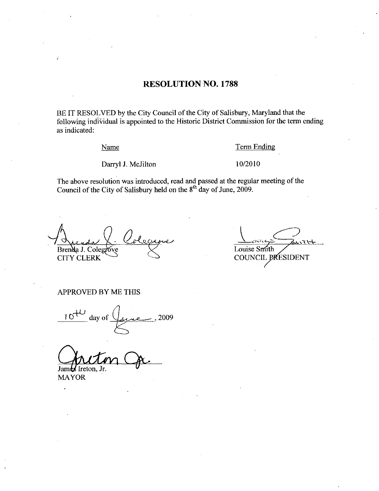# RESOLUTION NO. 1788

BE IT RESOLVED by the City Council of the City of Salisbury, Maryland that the following individual is appointed to the Historic District Commission forthe term ending as indicated

Name

Term Ending

Darryl J. McJilton

102010

The above resolution was introduced, read and passed at the regular meeting of the Council of the City of Salisbury held on the  $8<sup>th</sup>$  day of June, 2009.

 $\mathcal{Q}_\varepsilon$ Brenda J. Colegro La C. Coleg<br>Colegove CITY CLERK

dore<br>Do  $\overline{L}$ Louise Smith COUNCIL PRESIDENT

APPROVED BY ME THIS

 $\frac{10^{4U}}{2009}$  day of  $\frac{0}{2009}$ 

James Ireton. Jr.

MAYOR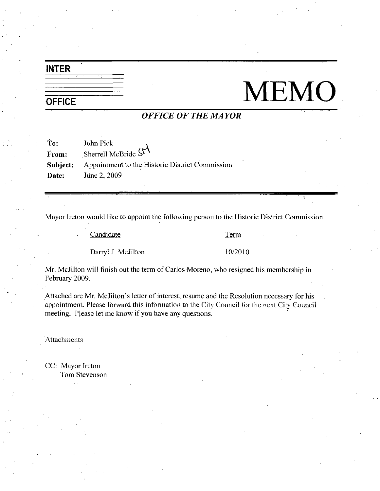# INTER

# **OFFICE**

# MEMO

# OFFICE OF THE MAYOR

| Ťо:   | John Pick                                                       |
|-------|-----------------------------------------------------------------|
| From: | Sherrell McBride $S1$                                           |
|       | <b>Subject:</b> Appointment to the Historic District Commission |
| Date: | June 2, 2009                                                    |

Mayor Ireton would like to appoint the following person to the Historic District Commission.

Candidate Term

Darryl J. McJilton 10/2010

Mr. McJilton will finish out the term of Carlos Moreno, who resigned his membership in February 2009

Darryl J. McJilton 10/2010<br>
Mr. McJilton will finish out the term of Carlos Moreno, who resigned his membership in<br>
February 2009.<br>
Attached are Mr. McJilton's letter of interest, resume and the Resolution necessary for hi meeting. Please let me know if you have any questions.

Attachments

CC: Mayor Ireton Tom Stevenson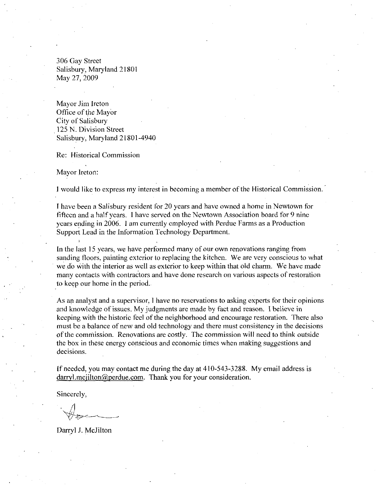306 Gay Street Salisbury, Maryland 21801 May 27, 2009

Mayor Jim Ireton Office of the Mayor City of Salisbury 125 N. Division Street Salisbury, Maryland 21801-4940

Re: Historical Commission

Mayor Ireton

<sup>1</sup> would like to express my interest in becoming amember of the Historical Commission

I have been aSalisbury resident for 20 years and have owned ahome in Newtown for fifteen and a halfyears I have served on the Newtown Association board for <sup>9</sup> nine years ending in <sup>2006</sup> I amcurrently employed with Perdue Farms as aProduction Support Lead in the Information Technology Department

In the last 15 years, we have performed many of our own renovations ranging from sanding floors, painting exterior to replacing the kitchen. We are very conscious to what we do with the interior as well as exterior to keep within that old charm. We have made many contacts with contractors and have done research on various aspects of restoration to keep our home in the period

As an analyst and a supervisor, I have no reservations to asking experts for their opinions and knowledge of issues. My judgments are made by fact and reason. I believe in keeping with the historic feel of the neighborhood and encourage restoration. There also must be a balance of new and old technology and there must consistency in the decisions of the commission. Renovations are costly. The commission will need to think outside the box in these energy conscious and economic times when making suggestions and decisions. summig moons, paramig cancel of expecting the statement of the interior as well as exterior to keep within that old many contacts with contractors and have done research on variou to keep our home in the period.<br>As an ana

If needed, you may contact me during the day at  $410-543-3288$ . My email address is darryl.mcjilton@perdue.com. Thank you for your consideration.

Sincerely

Darryl J McJilton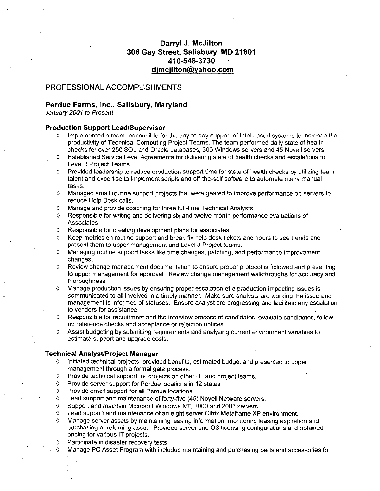# Darryl J. McJilton 306 Gay Street, Salisbury, MD 21801 arryl J. McJilto<br>eet, Salisbury<br>410-548-3730<br>iilton@vebee Darryl J. McJilton<br>y Street, Salisbury, MD<br>410-548-3730<br>d<u>imcjilton@yahoo.com</u><br>HMENTS<br>Marvland

# PROFESSIONAL ACCOMPLISHMENTS

# Perdue Farms, Inc., Salisbury, Maryland

January 2001 to Present

# Production Support LeadlSupervisor

- Implemented a team responsible for the day-to-day support of Intel based systems to increase the productivity of Technical Computing Project Teams The team pertormed daily state of health checks for over 250 SQL and Oracle databases, 300 Windows servers and 45 Novell servers.
- <sup>0</sup> Established Service Level Agreements for delivering state of health checks and escalations to Level 3 Project Teams
- $\Diamond$  Provided leadership to reduce production support time for state of health checks by utilizing team Experience of the Expertise to implement and expertise to implement scripts and off-the-self software to automate many manual<br>talent and expertise to implement scripts and off-the-self software to automate many manual<br>task tasks
- $\Diamond$  Managed small routine support projects that were geared to improve performance on servers to reduce Help Desk calls
- $\Diamond$  Manage and provide coaching for three full-time Technical Analysts.<br>  $\Diamond$  Responsible for writing and delivering six and twelve month perform:
- Responsible for writing and delivering six and twelve month performance evaluations of Associates
- $\Diamond$  Responsible for creating development plans for associates.
- $\Diamond$  Keep metrics on routine support and break fix help desk tickets and hours to see trends and present them to upper management and Level 3 Project teams
- $\Diamond$  Managing routine support tasks like time changes, patching, and performance improvement changes
- $\Diamond$  Review change management documentation to ensure proper protocol is followed and presenting to upper management for approval. Review change management walkthroughs for accuracy and thoroughness
- <sup>0</sup> Manage production issues by ensuring proper escalation of a production impacting issues is communicated to all involved in a timely manner. Make sure analysts are working the issue and management is informed of statuses. Ensure analyst are progressing and facilitate any escalation to vendors for assistance
- $\Diamond$  Responsible for recruitment and the interview process of candidates, evaluate candidates, follow up reference checks and acceptance or rejection notices
- $\Diamond$  Assist budgeting by submitting requirements and analyzing current environment variables to estimate support and upgrade costs

# **Technical Analyst/Project Manager**<br>A Ligitiated technical projects, provide

- Initiated technical projects, provided benefits, estimated budget and presented to upper management through a formal gate process.
- $\Diamond$  Provide technical support for projects on other IT and project teams.<br>  $\Diamond$  Provide server support for Perdue locations in 12 states
- Provide server support for Perdue locations in 12 states.
- <sup>0</sup> Provide email support for all Perdue locations
- 0 Lead support and maintenance of forty-five (45) Novell Netware servers.<br>0 Support and maintain Microsoft Windows NT 2000 and 2003 servers
- Support and maintain Microsoft Windows NT, 2000 and 2003 servers
- $\Diamond$  Lead support and maintenance of an eight server Citrix Metaframe XP environment.
- Manage server assets by maintaining leasing information, monitoring leasing expiration and purchasing or returning asset Provided serverand OS licensing configurations and obtained pricing for various IT projects
- Participate in disaster recovery tests.
- <sup>0</sup> Manage PC Asset Program with included maintaining and purchasing parts and accessories for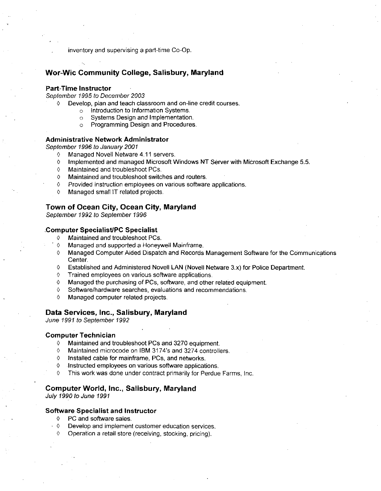inventory and supervising a part-time Co-Op.

# Wor-Wic Community College, Salisbury, Maryland

### Part-Time Instructor

September 1995 to December 2003

- $0$  Develop, plan and teach classroom and on-line credit courses.<br>  $\circ$  Introduction to Information Systems.
	- Introduction to Information Systems.
	- Systems Design and Implementation.
	- <sup>o</sup> Programming Design and Procedures

# Administrative Network Administrator

September 1996 to January 2001<br>Managed Novell Netware

- **0** Managed Novell Netware 4.11 servers.<br>**0** Implemented and managed Microsoft V
- <p>♦</p>\n<p>Implemented and managed Microsoft Windows NT Server with Microsoft Exchange 5.5.</p>\n<p>^♦</p>\n<p>Manipained and troublesome PCs</p>
- Maintained and troubleshoot PCs.
- 0 Maintained and troubleshoot switches and routers
- 0 Provided instruction employees on various software applications
- 0 Managed small IT related projects

# Town of Ocean City, Ocean City, Maryland

# September 1992 to September 1996<br>Computer Specialist/PC Specialist<br>  $\Diamond$  Maintained and troubleshoot PC

- 0 Maintained and troubleshoot PCs
- 0 Managed and supported a Honeywell Mainframe
- 0 Managed Computer Aided Dispatch and Records Management Software for the Communications Center
- $\circ$  Established and Administered Novell LAN (Novell Netware 3.x) for Police Department.<br>  $\circ$  Trained employees on various software applications
- Trained employees on various software applications.
- $\Diamond$  Managed the purchasing of PCs, software, and other related equipment.<br>  $\Diamond$  Software/hardware searches, evaluations and recommendations.
- $\Diamond$  Software/hardware searches, evaluations and recommendations.<br>  $\Diamond$  Managed computer related projects
- Managed computer related projects.

# Data Services, Inc., Salisbury, Maryland

June 1991 to September 1992

# **Computer Technician**<br>Maintained and treater

- 0 Maintained and troubleshoot PCs and 3270 equipment
- o 7007 to expremser 700£<br>
mputer Technician<br>
↑ Maintained and troubleshoot PCs and 3270 equipment.<br>
↑ Maintained microcode on IBM 3174's and 3274 controllers<br>
↑ Installed cable for mainframe, PCs, and networks.
- $0$  Installed cable for mainframe, PCs, and networks.
- 0 Instructed employees on various software applications
- This work was done under contract primarily for Perdue Farms, Inc.

### Computer World, Inc., Salisbury, Maryland

July 1990 to June 1991

# Software Specialist and Instructor

- 0 PC and software sales
- $\Diamond$  Develop and implement customer education services.
- $\lozenge$  Operation a retail store (receiving, stocking, pricing).